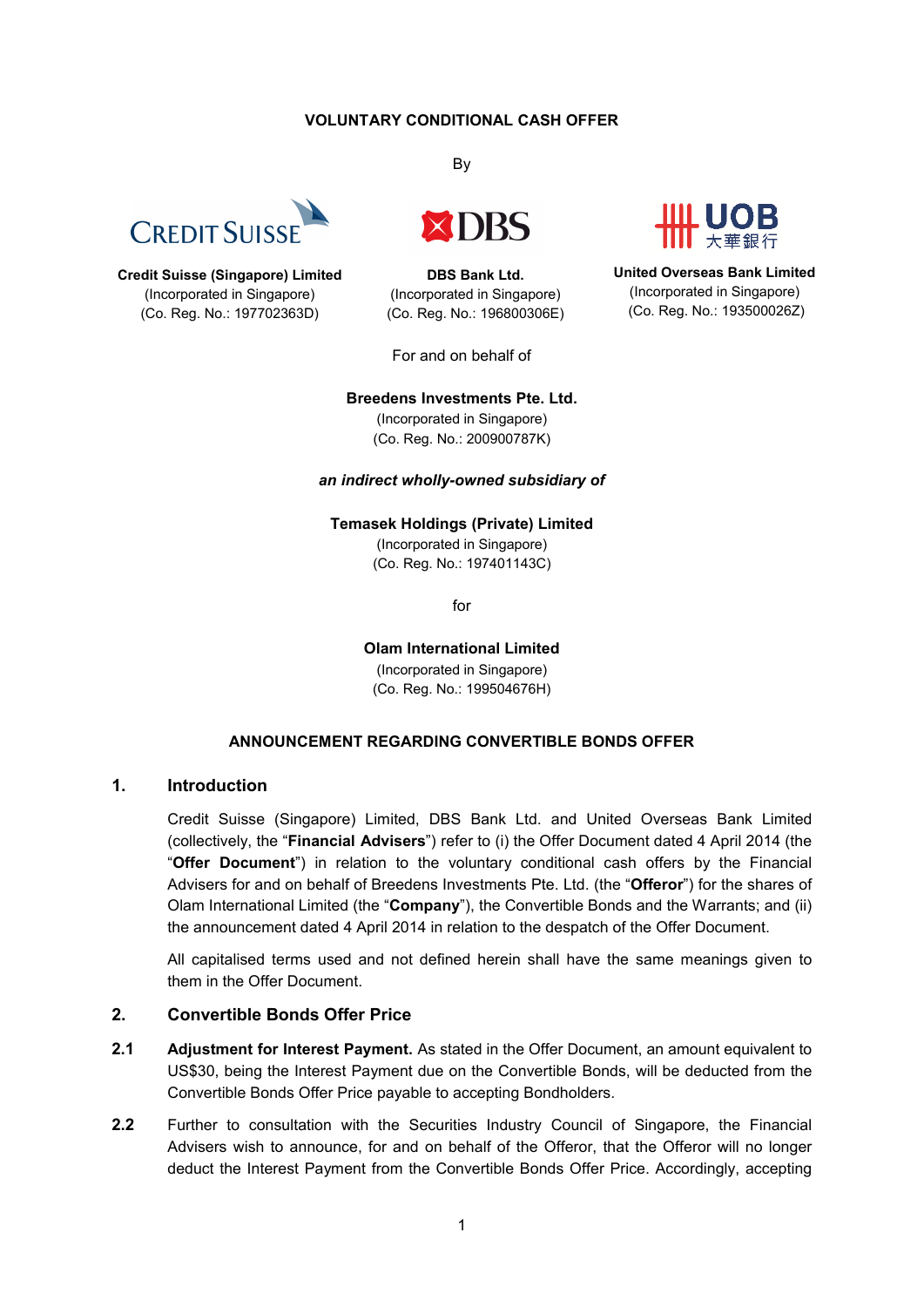## **VOLUNTARY CONDITIONAL CASH OFFER**



**Credit Suisse (Singapore) Limited** (Incorporated in Singapore) (Co. Reg. No.: 197702363D)

By



**DBS Bank Ltd.** (Incorporated in Singapore) (Co. Reg. No.: 196800306E)

For and on behalf of



**United Overseas Bank Limited** (Incorporated in Singapore) (Co. Reg. No.: 193500026Z)

#### **Breedens Investments Pte. Ltd.**

(Incorporated in Singapore) (Co. Reg. No.: 200900787K)

#### *an indirect wholly-owned subsidiary of*

**Temasek Holdings (Private) Limited**

(Incorporated in Singapore) (Co. Reg. No.: 197401143C)

for

**Olam International Limited** (Incorporated in Singapore) (Co. Reg. No.: 199504676H)

### **ANNOUNCEMENT REGARDING CONVERTIBLE BONDS OFFER**

### **1. Introduction**

Credit Suisse (Singapore) Limited, DBS Bank Ltd. and United Overseas Bank Limited (collectively, the "**Financial Advisers**") refer to (i) the Offer Document dated 4 April 2014 (the "**Offer Document**") in relation to the voluntary conditional cash offers by the Financial Advisers for and on behalf of Breedens Investments Pte. Ltd. (the "**Offeror**") for the shares of Olam International Limited (the "**Company**"), the Convertible Bonds and the Warrants; and (ii) the announcement dated 4 April 2014 in relation to the despatch of the Offer Document.

All capitalised terms used and not defined herein shall have the same meanings given to them in the Offer Document.

# **2. Convertible Bonds Offer Price**

- **2.1 Adjustment for Interest Payment.** As stated in the Offer Document, an amount equivalent to US\$30, being the Interest Payment due on the Convertible Bonds, will be deducted from the Convertible Bonds Offer Price payable to accepting Bondholders.
- **2.2** Further to consultation with the Securities Industry Council of Singapore, the Financial Advisers wish to announce, for and on behalf of the Offeror, that the Offeror will no longer deduct the Interest Payment from the Convertible Bonds Offer Price. Accordingly, accepting